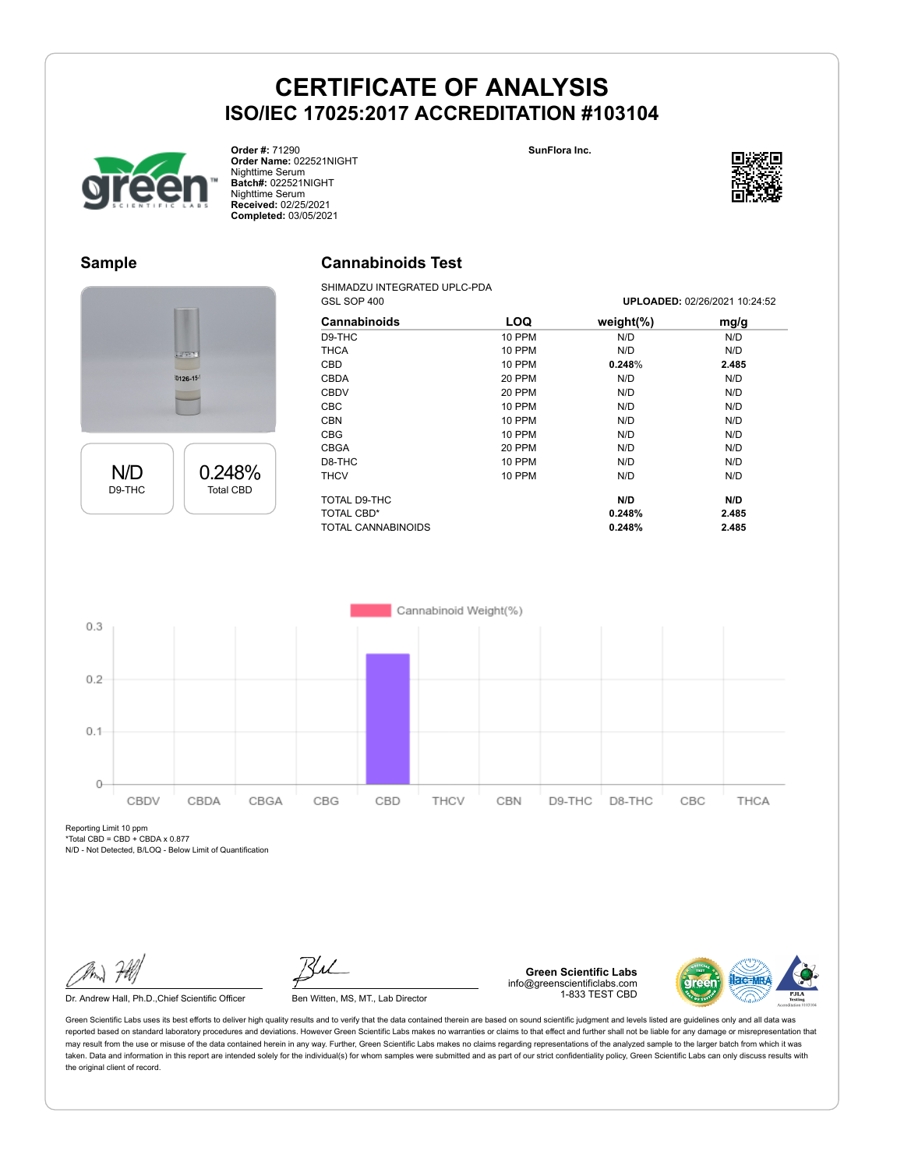



**Sample**

N/D D9-THC 0.248% Total CBD

**Order #:** 71290 **Order Name:** 022521NIGHT Nighttime Serum **Batch#:** 022521NIGHT Nighttime Serum **Received:** 02/25/2021 **Completed:** 03/05/2021

0126-15

### **Cannabinoids Test**

SHIMADZU INTEGRATED UPLC-PDA<br>GSL SOP 400

| GSL SOP 400         |               | <b>UPLOADED: 02/26/2021 10:24:52</b> |       |  |
|---------------------|---------------|--------------------------------------|-------|--|
| <b>Cannabinoids</b> | <b>LOQ</b>    | weight $(\%)$                        | mg/g  |  |
| D9-THC              | <b>10 PPM</b> | N/D                                  | N/D   |  |
| <b>THCA</b>         | 10 PPM        | N/D                                  | N/D   |  |
| CBD                 | 10 PPM        | 0.248%                               | 2.485 |  |
| <b>CBDA</b>         | 20 PPM        | N/D                                  | N/D   |  |
| <b>CBDV</b>         | 20 PPM        | N/D                                  | N/D   |  |
| <b>CBC</b>          | 10 PPM        | N/D                                  | N/D   |  |
| <b>CBN</b>          | 10 PPM        | N/D                                  | N/D   |  |
| <b>CBG</b>          | 10 PPM        | N/D                                  | N/D   |  |
| <b>CBGA</b>         | 20 PPM        | N/D                                  | N/D   |  |
| D8-THC              | 10 PPM        | N/D                                  | N/D   |  |
| <b>THCV</b>         | 10 PPM        | N/D                                  | N/D   |  |
| TOTAL D9-THC        |               | N/D                                  | N/D   |  |
| TOTAL CBD*          |               | 0.248%                               | 2.485 |  |
| TOTAL CANNABINOIDS  |               | 0.248%                               | 2.485 |  |



Reporting Limit 10 ppm \*Total CBD = CBD + CBDA x 0.877

N/D - Not Detected, B/LOQ - Below Limit of Quantification

Dr. Andrew Hall, Ph.D., Chief Scientific Officer Ben Witten, MS, MT., Lab Director

**Green Scientific Labs** info@greenscientificlabs.com 1-833 TEST CBD



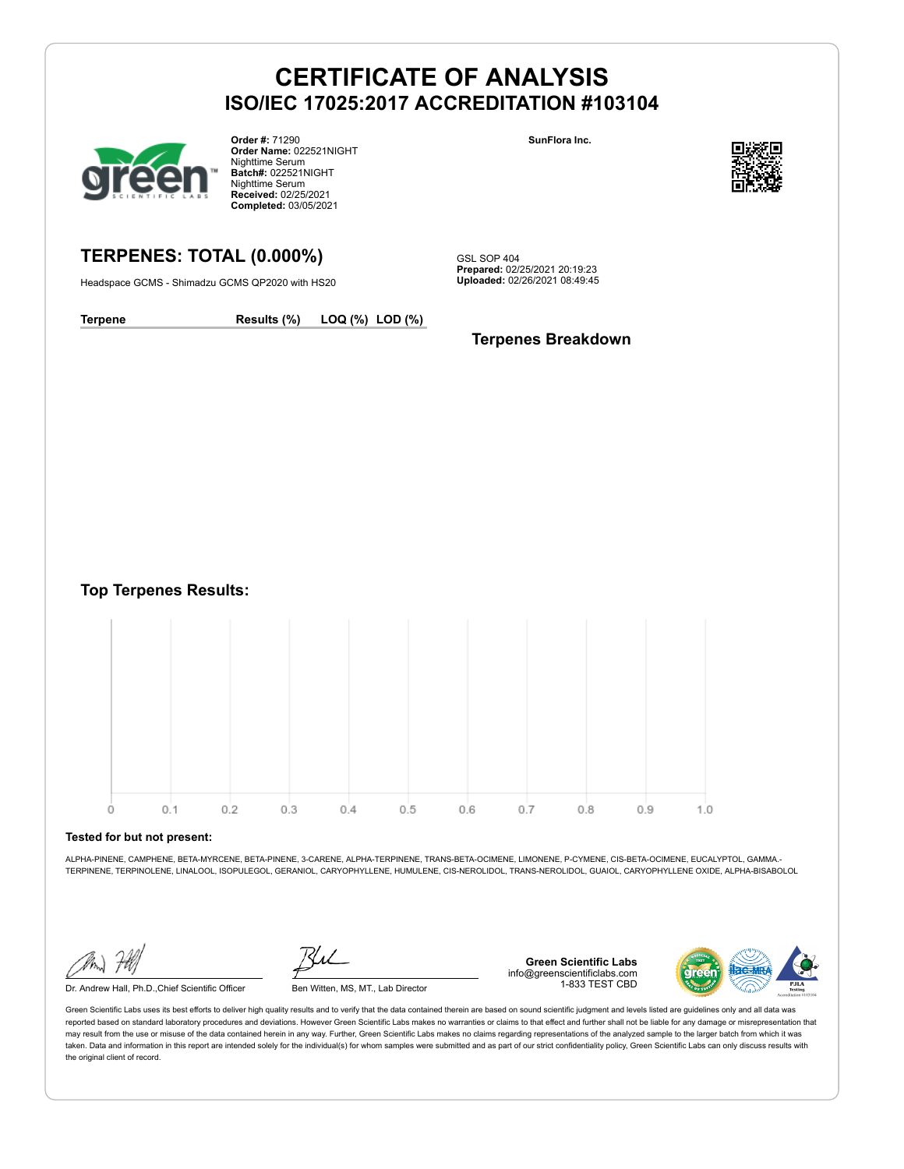

**Order #:** 71290 **Order Name:** 022521NIGHT Nighttime Serum **Batch#:** 022521NIGHT Nighttime Serum **Received:** 02/25/2021 **Completed:** 03/05/2021

#### **SunFlora Inc.**



### **TERPENES: TOTAL (0.000%)**

Headspace GCMS - Shimadzu GCMS QP2020 with HS20

GSL SOP 404 **Prepared:** 02/25/2021 20:19:23 **Uploaded:** 02/26/2021 08:49:45

**Terpene Results (%) LOQ (%) LOD (%)**

### **Terpenes Breakdown**

**Top Terpenes Results:**



#### **Tested for but not present:**

ALPHA-PINENE, CAMPHENE, BETA-MYRCENE, BETA-PINENE, 3-CARENE, ALPHA-TERPINENE, TRANS-BETA-OCIMENE, LIMONENE, P-CYMENE, CIS-BETA-OCIMENE, EUCALYPTOL, GAMMA.- TERPINENE, TERPINOLENE, LINALOOL, ISOPULEGOL, GERANIOL, CARYOPHYLLENE, HUMULENE, CIS-NEROLIDOL, TRANS-NEROLIDOL, GUAIOL, CARYOPHYLLENE OXIDE, ALPHA-BISABOLOL

Dr. Andrew Hall, Ph.D.,Chief Scientific Officer Ben Witten, MS, MT., Lab Director

**Green Scientific Labs** info@greenscientificlabs.com 1-833 TEST CBD

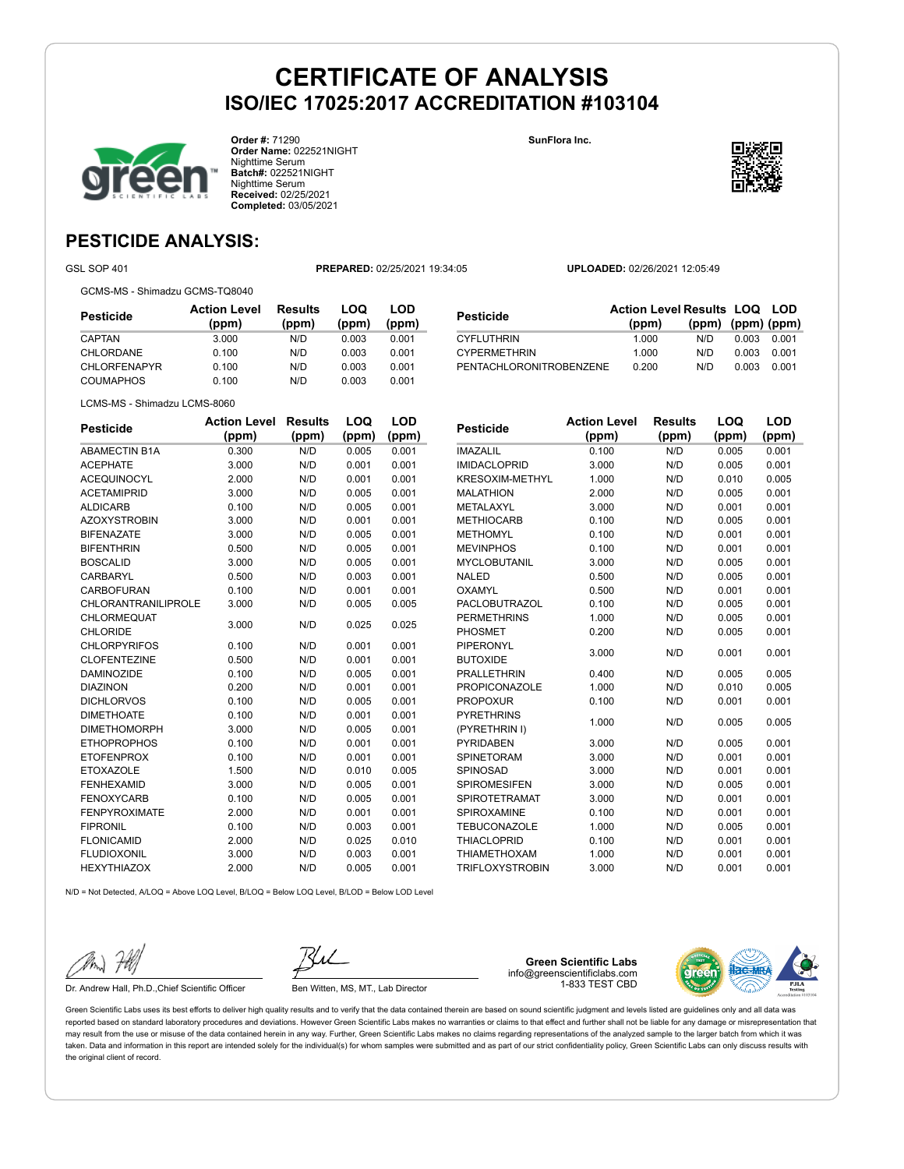

**Order #:** 71290 **Order Name:** 022521NIGHT Nighttime Serum **Batch#:** 022521NIGHT Nighttime Serum **Received:** 02/25/2021 **Completed:** 03/05/2021

**SunFlora Inc.**



**LOQ**

**LOD**

### **PESTICIDE ANALYSIS:**

GSL SOP 401 **PREPARED:** 02/25/2021 19:34:05 **UPLOADED:** 02/26/2021 12:05:49

GCMS-MS - Shimadzu GCMS-TQ8040

| Pesticide           | <b>Action Level</b><br>(ppm) | <b>Results</b><br>(ppm) | LOQ<br>(ppm) | LOD<br>(ppm) |
|---------------------|------------------------------|-------------------------|--------------|--------------|
| CAPTAN              | 3.000                        | N/D                     | 0.003        | 0.001        |
| CHLORDANE           | 0.100                        | N/D                     | 0.003        | 0.001        |
| <b>CHLORFENAPYR</b> | 0.100                        | N/D                     | 0.003        | 0.001        |
| <b>COUMAPHOS</b>    | 0.100                        | N/D                     | 0.003        | 0.001        |

|                                | <b>Action Level Results LOQ LOD</b> |                   |       |       |
|--------------------------------|-------------------------------------|-------------------|-------|-------|
| Pesticide                      | (ppm)                               | (ppm) (ppm) (ppm) |       |       |
| <b>CYFLUTHRIN</b>              | 1.000                               | N/D.              | 0.003 | 0.001 |
| <b>CYPERMETHRIN</b>            | 1.000                               | N/D               | 0.003 | 0.001 |
| <b>PENTACHLORONITROBENZENE</b> | 0.200                               | N/D               | 0.003 | 0.001 |

LCMS-MS - Shimadzu LCMS-8060

| <b>Pesticide</b>           | <b>Action Level</b> | <b>Results</b> | LOQ   | <b>LOD</b> |
|----------------------------|---------------------|----------------|-------|------------|
|                            | (ppm)               | (ppm)          | (ppm) | (ppm)      |
| <b>ABAMECTIN B1A</b>       | 0.300               | N/D            | 0.005 | 0.001      |
| <b>ACEPHATE</b>            | 3.000               | N/D            | 0.001 | 0.001      |
| <b>ACEQUINOCYL</b>         | 2.000               | N/D            | 0.001 | 0.001      |
| <b>ACETAMIPRID</b>         | 3.000               | N/D            | 0.005 | 0.001      |
| <b>ALDICARB</b>            | 0.100               | N/D            | 0.005 | 0.001      |
| <b>AZOXYSTROBIN</b>        | 3.000               | N/D            | 0.001 | 0.001      |
| <b>BIFENAZATE</b>          | 3.000               | N/D            | 0.005 | 0.001      |
| <b>BIFENTHRIN</b>          | 0.500               | N/D            | 0.005 | 0.001      |
| <b>BOSCALID</b>            | 3.000               | N/D            | 0.005 | 0.001      |
| <b>CARBARYL</b>            | 0.500               | N/D            | 0.003 | 0.001      |
| <b>CARBOFURAN</b>          | 0.100               | N/D            | 0.001 | 0.001      |
| <b>CHLORANTRANILIPROLE</b> | 3.000               | N/D            | 0.005 | 0.005      |
| CHLORMEQUAT                | 3.000               | N/D            | 0.025 | 0.025      |
| <b>CHLORIDE</b>            |                     |                |       |            |
| <b>CHLORPYRIFOS</b>        | 0.100               | N/D            | 0.001 | 0.001      |
| <b>CLOFENTEZINE</b>        | 0.500               | N/D            | 0.001 | 0.001      |
| <b>DAMINOZIDE</b>          | 0.100               | N/D            | 0.005 | 0.001      |
| <b>DIAZINON</b>            | 0.200               | N/D            | 0.001 | 0.001      |
| <b>DICHLORVOS</b>          | 0.100               | N/D            | 0.005 | 0.001      |
| <b>DIMETHOATE</b>          | 0.100               | N/D            | 0.001 | 0.001      |
| <b>DIMETHOMORPH</b>        | 3.000               | N/D            | 0.005 | 0.001      |
| <b>ETHOPROPHOS</b>         | 0.100               | N/D            | 0.001 | 0.001      |
| <b>ETOFENPROX</b>          | 0.100               | N/D            | 0.001 | 0.001      |
| <b>ETOXAZOLE</b>           | 1.500               | N/D            | 0.010 | 0.005      |
| <b>FENHEXAMID</b>          | 3.000               | N/D            | 0.005 | 0.001      |
| <b>FENOXYCARB</b>          | 0.100               | N/D            | 0.005 | 0.001      |
| <b>FENPYROXIMATE</b>       | 2.000               | N/D            | 0.001 | 0.001      |
| <b>FIPRONIL</b>            | 0.100               | N/D            | 0.003 | 0.001      |
| <b>FLONICAMID</b>          | 2.000               | N/D            | 0.025 | 0.010      |
| <b>FLUDIOXONIL</b>         | 3.000               | N/D            | 0.003 | 0.001      |
| <b>HEXYTHIAZOX</b>         | 2.000               | N/D            | 0.005 | 0.001      |

| <b>Pesticide</b>       | <b>Action Level</b> | <b>Results</b> | LOQ   | LOD   |
|------------------------|---------------------|----------------|-------|-------|
|                        | (ppm)               | (ppm)          | (ppm) | (ppm) |
| <b>IMAZALIL</b>        | 0.100               | N/D            | 0.005 | 0.001 |
| <b>IMIDACLOPRID</b>    | 3.000               | N/D            | 0.005 | 0.001 |
| <b>KRESOXIM-METHYL</b> | 1.000               | N/D            | 0.010 | 0.005 |
| <b>MALATHION</b>       | 2.000               | N/D            | 0.005 | 0.001 |
| <b>METALAXYL</b>       | 3.000               | N/D            | 0.001 | 0.001 |
| <b>METHIOCARB</b>      | 0.100               | N/D            | 0.005 | 0.001 |
| <b>METHOMYL</b>        | 0.100               | N/D            | 0.001 | 0.001 |
| <b>MEVINPHOS</b>       | 0.100               | N/D            | 0.001 | 0.001 |
| <b>MYCLOBUTANIL</b>    | 3.000               | N/D            | 0.005 | 0.001 |
| <b>NALED</b>           | 0.500               | N/D            | 0.005 | 0.001 |
| OXAMYL                 | 0.500               | N/D            | 0.001 | 0.001 |
| PACLOBUTRAZOL          | 0.100               | N/D            | 0.005 | 0.001 |
| <b>PERMETHRINS</b>     | 1.000               | N/D            | 0.005 | 0.001 |
| <b>PHOSMET</b>         | 0.200               | N/D            | 0.005 | 0.001 |
| PIPERONYL              | 3.000               | N/D            | 0.001 | 0.001 |
| <b>BUTOXIDE</b>        |                     |                |       |       |
| <b>PRALLETHRIN</b>     | 0.400               | N/D            | 0.005 | 0.005 |
| <b>PROPICONAZOLE</b>   | 1.000               | N/D            | 0.010 | 0.005 |
| <b>PROPOXUR</b>        | 0.100               | N/D            | 0.001 | 0.001 |
| <b>PYRETHRINS</b>      | 1.000               | N/D            | 0.005 | 0.005 |
| (PYRETHRIN I)          |                     |                |       |       |
| <b>PYRIDABEN</b>       | 3.000               | N/D            | 0.005 | 0.001 |
| <b>SPINETORAM</b>      | 3.000               | N/D            | 0.001 | 0.001 |
| SPINOSAD               | 3.000               | N/D            | 0.001 | 0.001 |
| <b>SPIROMESIFEN</b>    | 3.000               | N/D            | 0.005 | 0.001 |
| <b>SPIROTETRAMAT</b>   | 3.000               | N/D            | 0.001 | 0.001 |
| SPIROXAMINE            | 0.100               | N/D            | 0.001 | 0.001 |
| <b>TEBUCONAZOLE</b>    | 1.000               | N/D            | 0.005 | 0.001 |
| <b>THIACLOPRID</b>     | 0.100               | N/D            | 0.001 | 0.001 |
| <b>THIAMETHOXAM</b>    | 1.000               | N/D            | 0.001 | 0.001 |
| <b>TRIFLOXYSTROBIN</b> | 3.000               | N/D            | 0.001 | 0.001 |

N/D = Not Detected, A/LOQ = Above LOQ Level, B/LOQ = Below LOQ Level, B/LOD = Below LOD Level



Dr. Andrew Hall, Ph.D., Chief Scientific Officer Ben Witten, MS, MT., Lab Director

**Green Scientific Labs** info@greenscientificlabs.com 1-833 TEST CBD

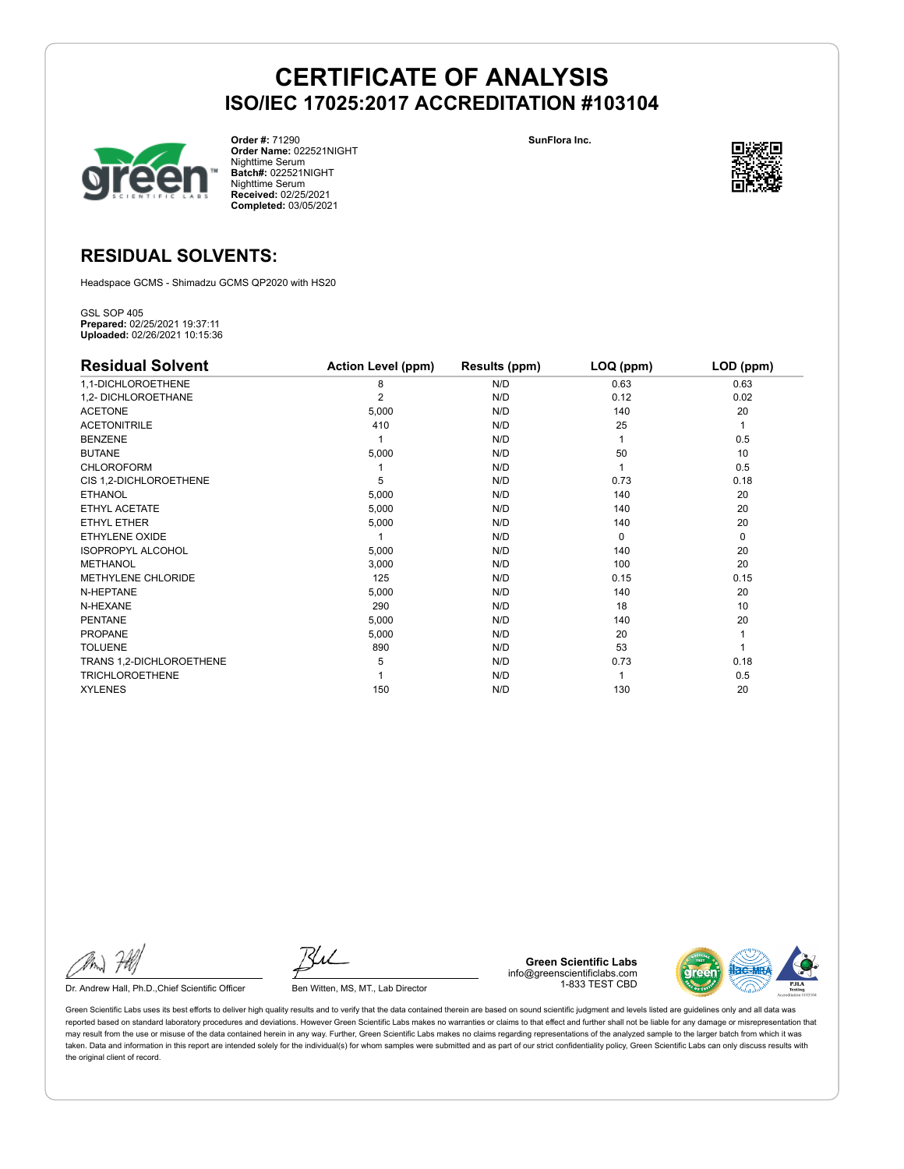

**Order #:** 71290 **Order Name:** 022521NIGHT Nighttime Serum **Batch#:** 022521NIGHT Nighttime Serum **Received:** 02/25/2021 **Completed:** 03/05/2021

**SunFlora Inc.**



### **RESIDUAL SOLVENTS:**

Headspace GCMS - Shimadzu GCMS QP2020 with HS20

GSL SOP 405 **Prepared:** 02/25/2021 19:37:11 **Uploaded:** 02/26/2021 10:15:36

| <b>Residual Solvent</b>  | <b>Action Level (ppm)</b> | Results (ppm) | LOQ (ppm) | LOD (ppm)   |
|--------------------------|---------------------------|---------------|-----------|-------------|
| 1,1-DICHLOROETHENE       | 8                         | N/D           | 0.63      | 0.63        |
| 1,2- DICHLOROETHANE      | $\overline{2}$            | N/D           | 0.12      | 0.02        |
| <b>ACETONE</b>           | 5,000                     | N/D           | 140       | 20          |
| <b>ACETONITRILE</b>      | 410                       | N/D           | 25        | 1           |
| <b>BENZENE</b>           |                           | N/D           |           | 0.5         |
| <b>BUTANE</b>            | 5,000                     | N/D           | 50        | 10          |
| <b>CHLOROFORM</b>        |                           | N/D           |           | 0.5         |
| CIS 1,2-DICHLOROETHENE   | 5                         | N/D           | 0.73      | 0.18        |
| <b>ETHANOL</b>           | 5,000                     | N/D           | 140       | 20          |
| ETHYL ACETATE            | 5,000                     | N/D           | 140       | 20          |
| ETHYL ETHER              | 5,000                     | N/D           | 140       | 20          |
| ETHYLENE OXIDE           |                           | N/D           | $\Omega$  | $\mathbf 0$ |
| <b>ISOPROPYL ALCOHOL</b> | 5,000                     | N/D           | 140       | 20          |
| <b>METHANOL</b>          | 3,000                     | N/D           | 100       | 20          |
| METHYLENE CHLORIDE       | 125                       | N/D           | 0.15      | 0.15        |
| N-HEPTANE                | 5,000                     | N/D           | 140       | 20          |
| N-HEXANE                 | 290                       | N/D           | 18        | 10          |
| <b>PENTANE</b>           | 5,000                     | N/D           | 140       | 20          |
| <b>PROPANE</b>           | 5,000                     | N/D           | 20        |             |
| <b>TOLUENE</b>           | 890                       | N/D           | 53        |             |
| TRANS 1,2-DICHLOROETHENE | 5                         | N/D           | 0.73      | 0.18        |
| <b>TRICHLOROETHENE</b>   |                           | N/D           |           | 0.5         |
| <b>XYLENES</b>           | 150                       | N/D           | 130       | 20          |

Dr. Andrew Hall, Ph.D., Chief Scientific Officer Ben Witten, MS, MT., Lab Director

**Green Scientific Labs** info@greenscientificlabs.com 1-833 TEST CBD

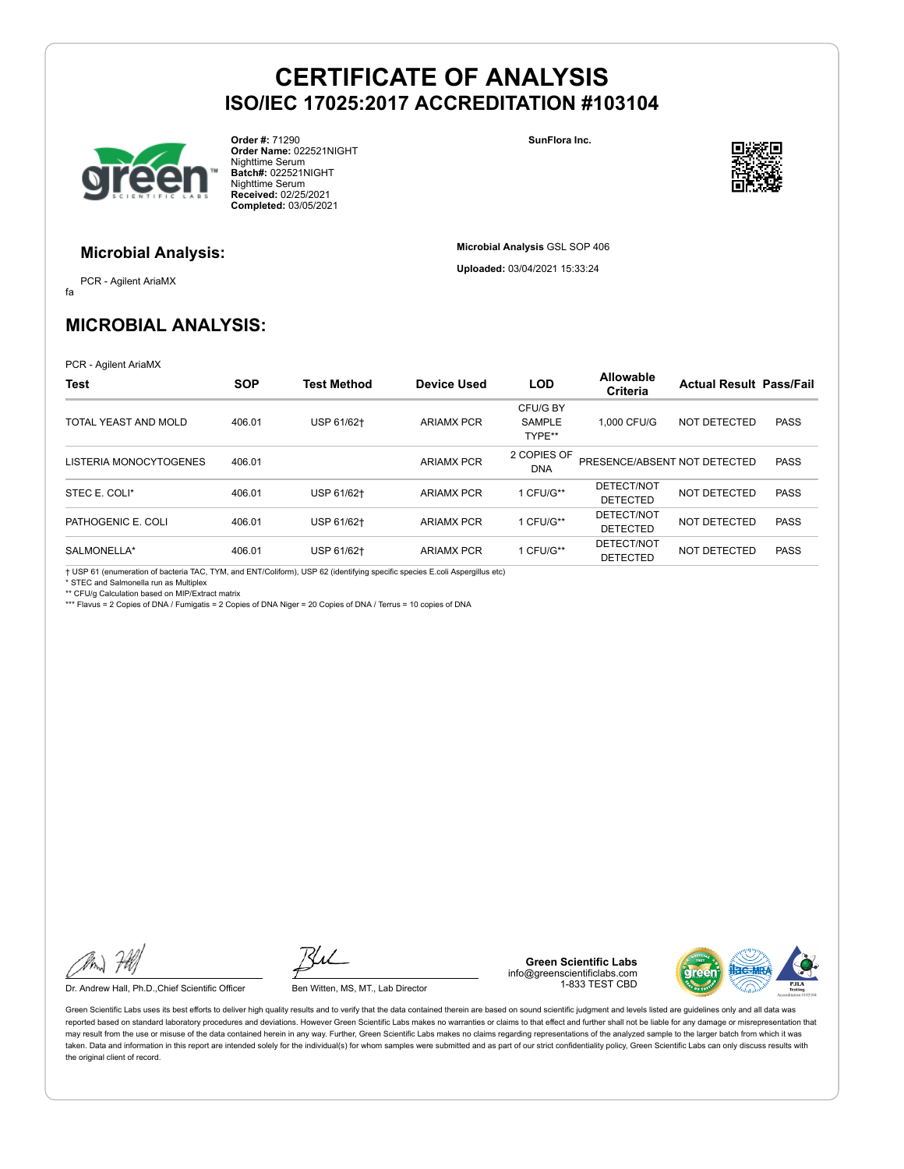

**Order #:** 71290 **Order Name:** 022521NIGHT Nighttime Serum **Batch#:** 022521NIGHT Nighttime Serum **Received:** 02/25/2021 **Completed:** 03/05/2021

**SunFlora Inc.**

**Microbial Analysis** GSL SOP 406 **Uploaded:** 03/04/2021 15:33:24



#### **Microbial Analysis:**

fa PCR - Agilent AriaMX

### **MICROBIAL ANALYSIS:**

PCR - Agilent AriaMX

| <b>Test</b>            | <b>SOP</b> | <b>Test Method</b> | <b>Device Used</b> | <b>LOD</b>                          | <b>Allowable</b><br>Criteria  | <b>Actual Result Pass/Fail</b> |             |
|------------------------|------------|--------------------|--------------------|-------------------------------------|-------------------------------|--------------------------------|-------------|
| TOTAL YEAST AND MOLD   | 406.01     | USP 61/62+         | <b>ARIAMX PCR</b>  | CFU/G BY<br><b>SAMPLE</b><br>TYPE** | 1.000 CFU/G                   | NOT DETECTED                   | <b>PASS</b> |
| LISTERIA MONOCYTOGENES | 406.01     |                    | <b>ARIAMX PCR</b>  | 2 COPIES OF<br><b>DNA</b>           | PRESENCE/ABSENT NOT DETECTED  |                                | <b>PASS</b> |
| STEC E. COLI*          | 406.01     | USP 61/62+         | <b>ARIAMX PCR</b>  | 1 CFU/G**                           | DETECT/NOT<br><b>DETECTED</b> | NOT DETECTED                   | <b>PASS</b> |
| PATHOGENIC E. COLI     | 406.01     | USP 61/62+         | <b>ARIAMX PCR</b>  | 1 CFU/G**                           | DETECT/NOT<br><b>DETECTED</b> | NOT DETECTED                   | <b>PASS</b> |
| SALMONELLA*            | 406.01     | USP 61/62+         | <b>ARIAMX PCR</b>  | 1 CFU/G**                           | DETECT/NOT<br><b>DETECTED</b> | NOT DETECTED                   | <b>PASS</b> |

† USP 61 (enumeration of bacteria TAC, TYM, and ENT/Coliform), USP 62 (identifying specific species E.coli Aspergillus etc)

\* STEC and Salmonella run as Multiplex \*\* CFU/g Calculation based on MIP/Extract matrix

\*\*\* Flavus = 2 Copies of DNA / Fumigatis = 2 Copies of DNA Niger = 20 Copies of DNA / Terrus = 10 copies of DNA

Dr. Andrew Hall, Ph.D., Chief Scientific Officer Ben Witten, MS, MT., Lab Director

**Green Scientific Labs** info@greenscientificlabs.com 1-833 TEST CBD